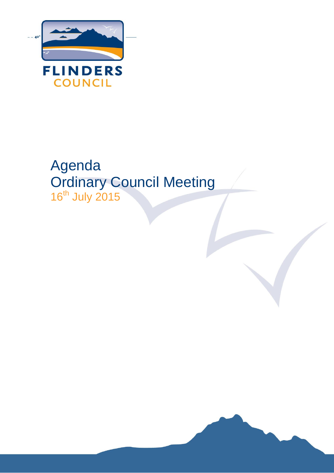

# Agenda Ordinary Council Meeting 16<sup>th</sup> July 2015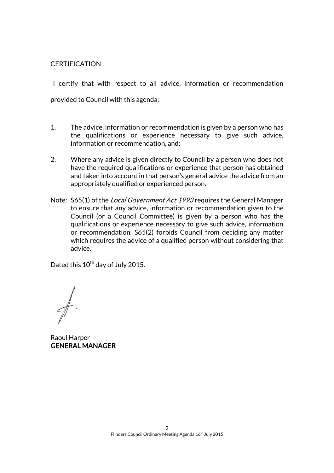## **CERTIFICATION**

"I certify that with respect to all advice, information or recommendation provided to Council with this agenda:

- 1. The advice, information or recommendation is given by a person who has the qualifications or experience necessary to give such advice, information or recommendation, and;
- 2. Where any advice is given directly to Council by a person who does not have the required qualifications or experience that person has obtained and taken into account in that person's general advice the advice from an appropriately qualified or experienced person.
- Note: S65(1) of the *Local Government Act 1993* requires the General Manager to ensure that any advice, information or recommendation given to the Council (or a Council Committee) is given by a person who has the qualifications or experience necessary to give such advice, information or recommendation. S65(2) forbids Council from deciding any matter which requires the advice of a qualified person without considering that advice."

Dated this 10<sup>th</sup> day of July 2015.

Raoul Harper GENERAL MANAGER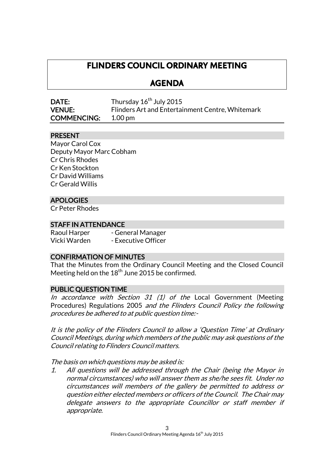## **FLINDERS COUNCIL ORDINARY MEETING**

## **AGENDA**

| <b>DATE:</b>       | Thursday 16 <sup>th</sup> July 2015              |
|--------------------|--------------------------------------------------|
| <b>VENUE:</b>      | Flinders Art and Entertainment Centre, Whitemark |
| <b>COMMENCING:</b> | $1.00 \,\mathrm{pm}$                             |

## PRESENT

Mayor Carol Cox Deputy Mayor Marc Cobham Cr Chris Rhodes Cr Ken Stockton Cr David Williams Cr Gerald Willis

## APOLOGIES

Cr Peter Rhodes

## STAFF IN ATTENDANCE

Raoul Harper - General Manager Vicki Warden - Executive Officer

## CONFIRMATION OF MINUTES

That the Minutes from the Ordinary Council Meeting and the Closed Council Meeting held on the  $18^{\rm th}$  June 2015 be confirmed.

## PUBLIC QUESTION TIME

In accordance with Section 31  $(1)$  of the Local Government (Meeting Procedures) Regulations 2005 and the Flinders Council Policy the following procedures be adhered to at public question time:-

It is the policy of the Flinders Council to allow a 'Question Time' at Ordinary Council Meetings, during which members of the public may ask questions of the Council relating to Flinders Council matters.

The basis on which questions may be asked is:

1. All questions will be addressed through the Chair (being the Mayor in normal circumstances) who will answer them as she/he sees fit. Under no circumstances will members of the gallery be permitted to address or question either elected members or officers of the Council. The Chair may delegate answers to the appropriate Councillor or staff member if appropriate.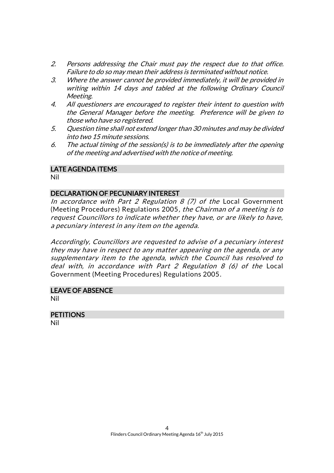- 2. Persons addressing the Chair must pay the respect due to that office. Failure to do so may mean their address is terminated without notice.
- 3. Where the answer cannot be provided immediately, it will be provided in writing within 14 days and tabled at the following Ordinary Council Meeting.
- 4. All questioners are encouraged to register their intent to question with the General Manager before the meeting. Preference will be given to those who have so registered.
- 5. Question time shall not extend longer than 30 minutes and may be divided into two 15 minute sessions.
- 6. The actual timing of the session(s) is to be immediately after the opening of the meeting and advertised with the notice of meeting.

## LATE AGENDA ITEMS

Nil

## DECLARATION OF PECUNIARY INTEREST

In accordance with Part 2 Regulation  $8$  (7) of the Local Government (Meeting Procedures) Regulations 2005, the Chairman of a meeting is to request Councillors to indicate whether they have, or are likely to have, a pecuniary interest in any item on the agenda.

Accordingly, Councillors are requested to advise of a pecuniary interest they may have in respect to any matter appearing on the agenda, or any supplementary item to the agenda, which the Council has resolved to deal with, in accordance with Part 2 Regulation 8 (6) of the Local Government (Meeting Procedures) Regulations 2005.

## LEAVE OF ABSENCE

Nil

#### **PETITIONS** Nil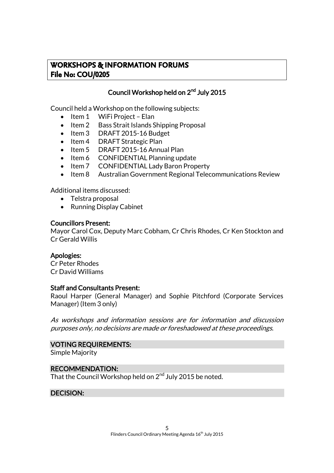## **WORKSHOPS & INFORMATION FORUMS File No: COU/0205**

## Council Workshop held on 2<sup>nd</sup> July 2015

Council held a Workshop on the following subjects:

- $\bullet$  Item 1 WiFi Project Elan
- Item 2 Bass Strait Islands Shipping Proposal
- Item 3 DRAFT 2015-16 Budget
- Item 4 DRAFT Strategic Plan
- Item 5 DRAFT 2015-16 Annual Plan
- Item 6 CONFIDENTIAL Planning update
- Item 7 CONFIDENTIAL Lady Baron Property
- Item 8 Australian Government Regional Telecommunications Review

Additional items discussed:

- Telstra proposal
- Running Display Cabinet

## Councillors Present:

Mayor Carol Cox, Deputy Marc Cobham, Cr Chris Rhodes, Cr Ken Stockton and Cr Gerald Willis

## Apologies:

Cr Peter Rhodes Cr David Williams

#### Staff and Consultants Present:

Raoul Harper (General Manager) and Sophie Pitchford (Corporate Services Manager) (Item 3 only)

As workshops and information sessions are for information and discussion purposes only, no decisions are made or foreshadowed at these proceedings.

#### VOTING REQUIREMENTS:

Simple Majority

#### RECOMMENDATION:

That the Council Workshop held on  $2^{\mathsf{nd}}$  July 2015 be noted.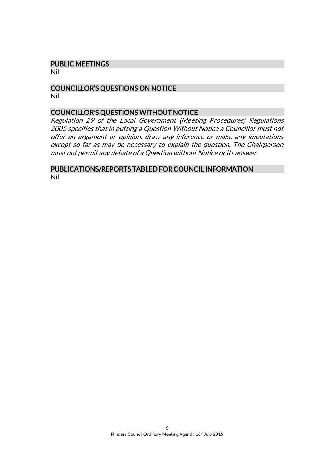#### PUBLIC MEETINGS

Nil

#### COUNCILLOR'S QUESTIONS ON NOTICE Nil

#### COUNCILLOR'S QUESTIONS WITHOUT NOTICE

Regulation 29 of the Local Government (Meeting Procedures) Regulations 2005 specifies that in putting a Question Without Notice a Councillor must not offer an argument or opinion, draw any inference or make any imputations except so far as may be necessary to explain the question. The Chairperson must not permit any debate of a Question without Notice or its answer.

#### PUBLICATIONS/REPORTS TABLED FOR COUNCIL INFORMATION Nil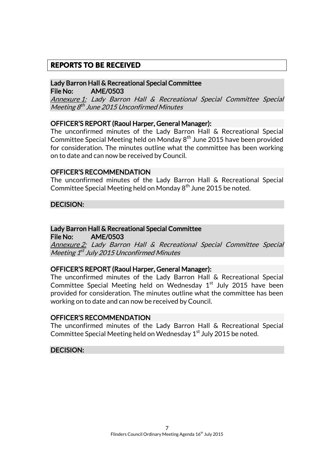## **REPORTS TO BE RECEIVED**

## Lady Barron Hall & Recreational Special Committee File No: AME/0503

Annexure 1: Lady Barron Hall & Recreational Special Committee Special Meeting 8<sup>th</sup> June 2015 Unconfirmed Minutes

## OFFICER'S REPORT (Raoul Harper, General Manager):

The unconfirmed minutes of the Lady Barron Hall & Recreational Special Committee Special Meeting held on Monday 8<sup>th</sup> June 2015 have been provided for consideration. The minutes outline what the committee has been working on to date and can now be received by Council.

#### OFFICER'S RECOMMENDATION

The unconfirmed minutes of the Lady Barron Hall & Recreational Special Committee Special Meeting held on Monday 8<sup>th</sup> June 2015 be noted.

## DECISION:

## Lady Barron Hall & Recreational Special Committee

File No: AME/0503

Annexure 2: Lady Barron Hall & Recreational Special Committee Special Meeting 1<sup>st</sup> July 2015 Unconfirmed Minutes

#### OFFICER'S REPORT (Raoul Harper, General Manager):

The unconfirmed minutes of the Lady Barron Hall & Recreational Special Committee Special Meeting held on Wednesday  $1<sup>st</sup>$  July 2015 have been provided for consideration. The minutes outline what the committee has been working on to date and can now be received by Council.

### OFFICER'S RECOMMENDATION

The unconfirmed minutes of the Lady Barron Hall & Recreational Special Committee Special Meeting held on Wednesday 1<sup>st</sup> July 2015 be noted.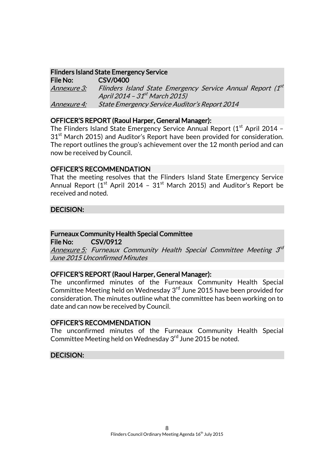## Flinders Island State Emergency Service

File No: CSV/0400 <u>Annexure 3:</u> Flinders Island State Emergency Service Annual Report (1<sup>st</sup> April 2014 – 31<sup>st</sup> March 2015) Annexure 4: State Emergency Service Auditor's Report 2014

## OFFICER'S REPORT (Raoul Harper, General Manager):

The Flinders Island State Emergency Service Annual Report  $(1<sup>st</sup>$  April 2014 –  $31<sup>st</sup>$  March 2015) and Auditor's Report have been provided for consideration. The report outlines the group's achievement over the 12 month period and can now be received by Council.

## OFFICER'S RECOMMENDATION

That the meeting resolves that the Flinders Island State Emergency Service Annual Report ( $1<sup>st</sup>$  April 2014 –  $31<sup>st</sup>$  March 2015) and Auditor's Report be received and noted.

## DECISION:

## Furneaux Community Health Special Committee

File No: CSV/0912

Annexure 5: Furneaux Community Health Special Committee Meeting 3<sup>rd</sup> June 2015 Unconfirmed Minutes

## OFFICER'S REPORT (Raoul Harper, General Manager):

The unconfirmed minutes of the Furneaux Community Health Special Committee Meeting held on Wednesday 3<sup>rd</sup> June 2015 have been provided for consideration. The minutes outline what the committee has been working on to date and can now be received by Council.

### OFFICER'S RECOMMENDATION

The unconfirmed minutes of the Furneaux Community Health Special Committee Meeting held on Wednesday 3<sup>rd</sup> June 2015 be noted.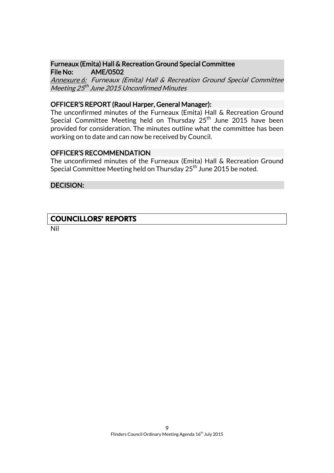### Furneaux (Emita) Hall & Recreation Ground Special Committee File No: AME/0502

Annexure 6: Furneaux (Emita) Hall & Recreation Ground Special Committee Meeting 25<sup>th</sup> June 2015 Unconfirmed Minutes

### OFFICER'S REPORT (Raoul Harper, General Manager):

The unconfirmed minutes of the Furneaux (Emita) Hall & Recreation Ground Special Committee Meeting held on Thursday  $25<sup>th</sup>$  June 2015 have been provided for consideration. The minutes outline what the committee has been working on to date and can now be received by Council.

## OFFICER'S RECOMMENDATION

The unconfirmed minutes of the Furneaux (Emita) Hall & Recreation Ground Special Committee Meeting held on Thursday  $25<sup>th</sup>$  June 2015 be noted.

#### DECISION:

## **COUNCILLORS' REPORTS**

Nil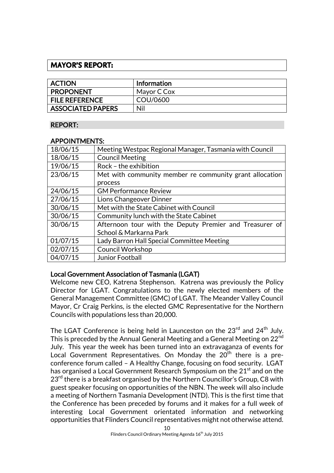## **MAYOR'S REPORT:**

| <b>ACTION</b>            | <b>Information</b> |
|--------------------------|--------------------|
| <b>PROPONENT</b>         | Mayor C Cox        |
| <b>FILE REFERENCE</b>    | COU/0600           |
| <b>ASSOCIATED PAPERS</b> | Nil                |

## REPORT:

## APPOINTMENTS:

| 18/06/15 | Meeting Westpac Regional Manager, Tasmania with Council |
|----------|---------------------------------------------------------|
| 18/06/15 | <b>Council Meeting</b>                                  |
| 19/06/15 | Rock - the exhibition                                   |
| 23/06/15 | Met with community member re community grant allocation |
|          | process                                                 |
| 24/06/15 | <b>GM Performance Review</b>                            |
| 27/06/15 | Lions Changeover Dinner                                 |
| 30/06/15 | Met with the State Cabinet with Council                 |
| 30/06/15 | Community lunch with the State Cabinet                  |
| 30/06/15 | Afternoon tour with the Deputy Premier and Treasurer of |
|          | School & Markarna Park                                  |
| 01/07/15 | Lady Barron Hall Special Committee Meeting              |
| 02/07/15 | <b>Council Workshop</b>                                 |
| 04/07/15 | Junior Football                                         |

## Local Government Association of Tasmania (LGAT)

Welcome new CEO, Katrena Stephenson. Katrena was previously the Policy Director for LGAT. Congratulations to the newly elected members of the General Management Committee (GMC) of LGAT. The Meander Valley Council Mayor, Cr Craig Perkins, is the elected GMC Representative for the Northern Councils with populations less than 20,000.

The LGAT Conference is being held in Launceston on the 23<sup>rd</sup> and 24<sup>th</sup> July. This is preceded by the Annual General Meeting and a General Meeting on 22<sup>nd</sup> July. This year the week has been turned into an extravaganza of events for Local Government Representatives. On Monday the 20<sup>th</sup> there is a preconference forum called – A Healthy Change, focusing on food security. LGAT has organised a Local Government Research Symposium on the 21<sup>st</sup> and on the  $23<sup>rd</sup>$  there is a breakfast organised by the Northern Councillor's Group, C8 with guest speaker focusing on opportunities of the NBN. The week will also include a meeting of Northern Tasmania Development (NTD). This is the first time that the Conference has been preceded by forums and it makes for a full week of interesting Local Government orientated information and networking opportunities that Flinders Council representatives might not otherwise attend.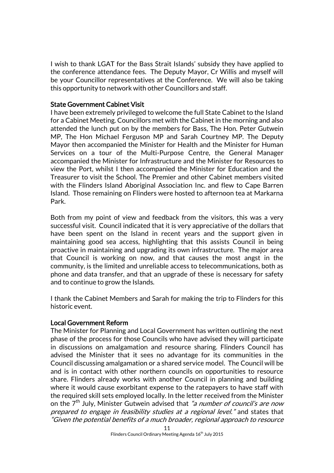I wish to thank LGAT for the Bass Strait Islands' subsidy they have applied to the conference attendance fees. The Deputy Mayor, Cr Willis and myself will be your Councillor representatives at the Conference. We will also be taking this opportunity to network with other Councillors and staff.

#### State Government Cabinet Visit

I have been extremely privileged to welcome the full State Cabinet to the Island for a Cabinet Meeting. Councillors met with the Cabinet in the morning and also attended the lunch put on by the members for Bass, The Hon. Peter Gutwein MP, The Hon Michael Ferguson MP and Sarah Courtney MP. The Deputy Mayor then accompanied the Minister for Health and the Minister for Human Services on a tour of the Multi-Purpose Centre, the General Manager accompanied the Minister for Infrastructure and the Minister for Resources to view the Port, whilst I then accompanied the Minister for Education and the Treasurer to visit the School. The Premier and other Cabinet members visited with the Flinders Island Aboriginal Association Inc. and flew to Cape Barren Island. Those remaining on Flinders were hosted to afternoon tea at Markarna Park.

Both from my point of view and feedback from the visitors, this was a very successful visit. Council indicated that it is very appreciative of the dollars that have been spent on the Island in recent years and the support given in maintaining good sea access, highlighting that this assists Council in being proactive in maintaining and upgrading its own infrastructure. The major area that Council is working on now, and that causes the most angst in the community, is the limited and unreliable access to telecommunications, both as phone and data transfer, and that an upgrade of these is necessary for safety and to continue to grow the Islands.

I thank the Cabinet Members and Sarah for making the trip to Flinders for this historic event.

#### Local Government Reform

The Minister for Planning and Local Government has written outlining the next phase of the process for those Councils who have advised they will participate in discussions on amalgamation and resource sharing. Flinders Council has advised the Minister that it sees no advantage for its communities in the Council discussing amalgamation or a shared service model. The Council will be and is in contact with other northern councils on opportunities to resource share. Flinders already works with another Council in planning and building where it would cause exorbitant expense to the ratepayers to have staff with the required skill sets employed locally. In the letter received from the Minister on the 7<sup>th</sup> July, Minister Gutwein advised that *"a number of council's are now* prepared to engage in feasibility studies at a regional level." and states that "Given the potential benefits of a much broader, regional approach to resource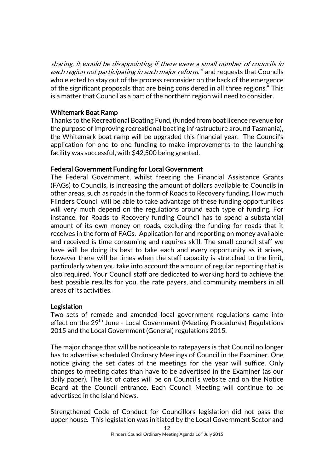sharing, it would be disappointing if there were a small number of councils in each region not participating in such major reform." and requests that Councils who elected to stay out of the process reconsider on the back of the emergence of the significant proposals that are being considered in all three regions." This is a matter that Council as a part of the northern region will need to consider.

## Whitemark Boat Ramp

Thanks to the Recreational Boating Fund, (funded from boat licence revenue for the purpose of improving recreational boating infrastructure around Tasmania), the Whitemark boat ramp will be upgraded this financial year. The Council's application for one to one funding to make improvements to the launching facility was successful, with \$42,500 being granted.

## Federal Government Funding for Local Government

The Federal Government, whilst freezing the Financial Assistance Grants (FAGs) to Councils, is increasing the amount of dollars available to Councils in other areas, such as roads in the form of Roads to Recovery funding. How much Flinders Council will be able to take advantage of these funding opportunities will very much depend on the regulations around each type of funding. For instance, for Roads to Recovery funding Council has to spend a substantial amount of its own money on roads, excluding the funding for roads that it receives in the form of FAGs. Application for and reporting on money available and received is time consuming and requires skill. The small council staff we have will be doing its best to take each and every opportunity as it arises, however there will be times when the staff capacity is stretched to the limit, particularly when you take into account the amount of regular reporting that is also required. Your Council staff are dedicated to working hard to achieve the best possible results for you, the rate payers, and community members in all areas of its activities.

## Legislation

Two sets of remade and amended local government regulations came into effect on the 29<sup>th</sup> June - Local Government (Meeting Procedures) Regulations 2015 and the Local Government (General) regulations 2015.

The major change that will be noticeable to ratepayers is that Council no longer has to advertise scheduled Ordinary Meetings of Council in the Examiner. One notice giving the set dates of the meetings for the year will suffice. Only changes to meeting dates than have to be advertised in the Examiner (as our daily paper). The list of dates will be on Council's website and on the Notice Board at the Council entrance. Each Council Meeting will continue to be advertised in the Island News.

Strengthened Code of Conduct for Councillors legislation did not pass the upper house. This legislation was initiated by the Local Government Sector and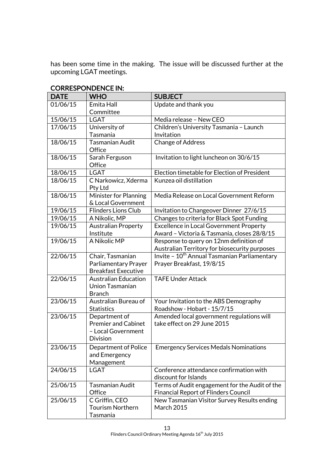has been some time in the making. The issue will be discussed further at the upcoming LGAT meetings.

| <b>DATE</b> | <b>WHO</b>                                  | <b>SUBJECT</b>                                                           |
|-------------|---------------------------------------------|--------------------------------------------------------------------------|
| 01/06/15    | Emita Hall                                  | Update and thank you                                                     |
|             | Committee                                   |                                                                          |
| 15/06/15    | <b>LGAT</b>                                 | Media release - New CEO                                                  |
| 17/06/15    | University of                               | Children's University Tasmania - Launch                                  |
|             | Tasmania                                    | Invitation                                                               |
| 18/06/15    | Tasmanian Audit                             | <b>Change of Address</b>                                                 |
|             | Office                                      |                                                                          |
| 18/06/15    | Sarah Ferguson                              | Invitation to light luncheon on 30/6/15                                  |
|             | Office                                      |                                                                          |
| 18/06/15    | <b>LGAT</b>                                 | Election timetable for Election of President                             |
| 18/06/15    | C Narkowicz, Xderma<br>Pty Ltd              | Kunzea oil distillation                                                  |
| 18/06/15    | Minister for Planning<br>& Local Government | Media Release on Local Government Reform                                 |
| 19/06/15    | <b>Flinders Lions Club</b>                  | Invitation to Changeover Dinner 27/6/15                                  |
| 19/06/15    | A Nikolic, MP                               | Changes to criteria for Black Spot Funding                               |
| 19/06/15    | <b>Australian Property</b>                  | <b>Excellence in Local Government Property</b>                           |
|             | Institute                                   | Award - Victoria & Tasmania, closes 28/8/15                              |
| 19/06/15    | A Nikolic MP                                | Response to query on 12nm definition of                                  |
|             |                                             | Australian Territory for biosecurity purposes                            |
| 22/06/15    | Chair, Tasmanian                            | Invite - 10 <sup>th</sup> Annual Tasmanian Parliamentary                 |
|             | Parliamentary Prayer                        | Prayer Breakfast, 19/8/15                                                |
|             | <b>Breakfast Executive</b>                  |                                                                          |
| 22/06/15    | <b>Australian Education</b>                 | <b>TAFE Under Attack</b>                                                 |
|             | <b>Union Tasmanian</b>                      |                                                                          |
|             | <b>Branch</b>                               |                                                                          |
| 23/06/15    | Australian Bureau of                        | Your Invitation to the ABS Demography                                    |
| 23/06/15    | <b>Statistics</b>                           | Roadshow - Hobart - 15/7/15                                              |
|             | Department of<br><b>Premier and Cabinet</b> | Amended local government regulations will<br>take effect on 29 June 2015 |
|             | - Local Government                          |                                                                          |
|             | <b>Division</b>                             |                                                                          |
|             |                                             |                                                                          |
| 23/06/15    | Department of Police                        | <b>Emergency Services Medals Nominations</b>                             |
|             | and Emergency<br>Management                 |                                                                          |
| 24/06/15    | <b>LGAT</b>                                 | Conference attendance confirmation with                                  |
|             |                                             | discount for Islands                                                     |
| 25/06/15    | <b>Tasmanian Audit</b>                      | Terms of Audit engagement for the Audit of the                           |
|             | Office                                      | <b>Financial Report of Flinders Council</b>                              |
| 25/06/15    | C Griffin, CEO                              | New Tasmanian Visitor Survey Results ending                              |
|             | <b>Tourism Northern</b>                     | <b>March 2015</b>                                                        |
|             | Tasmania                                    |                                                                          |

## CORRESPONDENCE IN: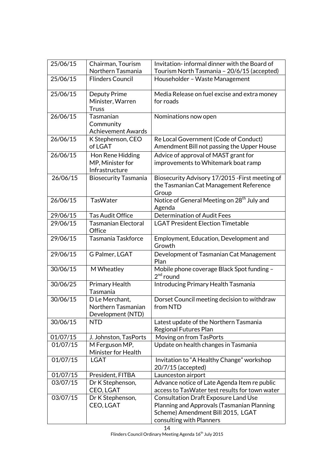| 25/06/15             | Chairman, Tourism<br>Northern Tasmania  | Invitation-informal dinner with the Board of<br>Tourism North Tasmania - 20/6/15 (accepted) |
|----------------------|-----------------------------------------|---------------------------------------------------------------------------------------------|
| 25/06/15             | <b>Flinders Council</b>                 | Householder - Waste Management                                                              |
|                      |                                         |                                                                                             |
| 25/06/15             | Deputy Prime                            | Media Release on fuel excise and extra money                                                |
|                      | Minister, Warren                        | for roads                                                                                   |
|                      | <b>Truss</b>                            |                                                                                             |
| 26/06/15             | Tasmanian                               | Nominations now open                                                                        |
|                      | Community<br><b>Achievement Awards</b>  |                                                                                             |
| 26/06/15             | K Stephenson, CEO                       | Re Local Government (Code of Conduct)                                                       |
|                      | of LGAT                                 | Amendment Bill not passing the Upper House                                                  |
| 26/06/15             | Hon Rene Hidding                        | Advice of approval of MAST grant for                                                        |
|                      | MP, Minister for                        | improvements to Whitemark boat ramp                                                         |
|                      | Infrastructure                          |                                                                                             |
| 26/06/15             | <b>Biosecurity Tasmania</b>             | Biosecurity Advisory 17/2015 - First meeting of                                             |
|                      |                                         | the Tasmanian Cat Management Reference                                                      |
|                      |                                         | Group                                                                                       |
| 26/06/15             | TasWater                                | Notice of General Meeting on 28 <sup>th</sup> July and                                      |
| 29/06/15             | <b>Tas Audit Office</b>                 | Agenda<br><b>Determination of Audit Fees</b>                                                |
| 29/06/15             | <b>Tasmanian Electoral</b>              | <b>LGAT President Election Timetable</b>                                                    |
|                      | Office                                  |                                                                                             |
| 29/06/15             | Tasmania Taskforce                      | Employment, Education, Development and                                                      |
|                      |                                         | Growth                                                                                      |
| 29/06/15             | G Palmer, LGAT                          | Development of Tasmanian Cat Management                                                     |
|                      |                                         | Plan                                                                                        |
| 30/06/15             | M Wheatley                              | Mobile phone coverage Black Spot funding -<br>$2nd$ round                                   |
| 30/06/25             | Primary Health                          | Introducing Primary Health Tasmania                                                         |
|                      | Tasmania                                |                                                                                             |
| 30/06/15             | D Le Merchant.                          | Dorset Council meeting decision to withdraw                                                 |
|                      | Northern Tasmanian                      | from NTD                                                                                    |
|                      | Development (NTD)                       |                                                                                             |
| 30/06/15             | <b>NTD</b>                              | Latest update of the Northern Tasmania                                                      |
|                      |                                         | <b>Regional Futures Plan</b><br>Moving on from TasPorts                                     |
| 01/07/15<br>01/07/15 | J. Johnston, TasPorts<br>M Ferguson MP, | Update on health changes in Tasmania                                                        |
|                      | Minister for Health                     |                                                                                             |
| 01/07/15             | <b>LGAT</b>                             | Invitation to "A Healthy Change" workshop                                                   |
|                      |                                         | 20/7/15 (accepted)                                                                          |
| 01/07/15             | President, FITBA                        | Launceston airport                                                                          |
| 03/07/15             | Dr K Stephenson,                        | Advance notice of Late Agenda Item re public                                                |
|                      | CEO, LGAT                               | access to TasWater test results for town water                                              |
| 03/07/15             | Dr K Stephenson,                        | <b>Consultation Draft Exposure Land Use</b>                                                 |
|                      | CEO, LGAT                               | Planning and Approvals (Tasmanian Planning                                                  |
|                      |                                         | Scheme) Amendment Bill 2015, LGAT<br>consulting with Planners                               |
|                      |                                         |                                                                                             |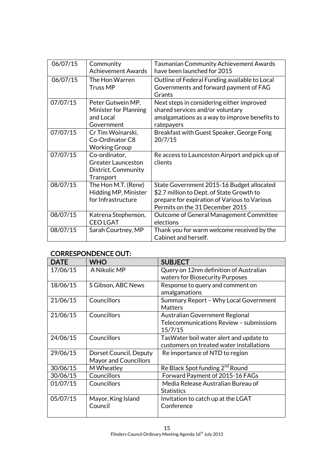| 06/07/15 | Community<br><b>Achievement Awards</b> | <b>Tasmanian Community Achievement Awards</b><br>have been launched for 2015 |
|----------|----------------------------------------|------------------------------------------------------------------------------|
|          |                                        |                                                                              |
| 06/07/15 | The Hon Warren                         | Outline of Federal Funding available to Local                                |
|          | <b>Truss MP</b>                        | Governments and forward payment of FAG                                       |
|          |                                        | Grants                                                                       |
| 07/07/15 | Peter Gutwein MP,                      | Next steps in considering either improved                                    |
|          | Minister for Planning                  | shared services and/or voluntary                                             |
|          | and Local                              | amalgamations as a way to improve benefits to                                |
|          | Government                             | ratepayers                                                                   |
| 07/07/15 | Cr Tim Woinarski,                      | Breakfast with Guest Speaker, George Fong                                    |
|          | Co-Ordinator C8                        | 20/7/15                                                                      |
|          | <b>Working Group</b>                   |                                                                              |
| 07/07/15 | Co-ordinator,                          | Re access to Launceston Airport and pick up of                               |
|          | <b>Greater Launceston</b>              | clients                                                                      |
|          | District, Community                    |                                                                              |
|          | Transport                              |                                                                              |
| 08/07/15 | The Hon M.T. (Rene)                    | State Government 2015-16 Budget allocated                                    |
|          | Hidding MP, Minister                   | \$2.7 million to Dept. of State Growth to                                    |
|          | for Infrastructure                     | prepare for expiration of Various to Various                                 |
|          |                                        | Permits on the 31 December 2015                                              |
| 08/07/15 | Katrena Stephenson,                    | Outcome of General Management Committee                                      |
|          | <b>CEOLGAT</b>                         | elections                                                                    |
| 08/07/15 | Sarah Courtney, MP                     | Thank you for warm welcome received by the                                   |
|          |                                        | Cabinet and herself.                                                         |

## CORRESPONDENCE OUT:

| <b>DATE</b> | <b>WHO</b>                   | <b>SUBJECT</b>                                    |
|-------------|------------------------------|---------------------------------------------------|
| 17/06/15    | A Nikolic MP                 | Query on 12nm definition of Australian            |
|             |                              | waters for Biosecurity Purposes                   |
| 18/06/15    | S Gibson, ABC News           | Response to query and comment on<br>amalgamations |
| 21/06/15    | <b>Councillors</b>           | Summary Report - Why Local Government             |
|             |                              | Matters                                           |
| 21/06/15    | Councillors                  | Australian Government Regional                    |
|             |                              | Telecommunications Review - submissions           |
|             |                              | 15/7/15                                           |
| 24/06/15    | Councillors                  | Tas Water boil water alert and update to          |
|             |                              | customers on treated water installations          |
| 29/06/15    | Dorset Council, Deputy       | Re importance of NTD to region                    |
|             | <b>Mayor and Councillors</b> |                                                   |
| 30/06/15    | M Wheatley                   | Re Black Spot funding 2 <sup>nd</sup> Round       |
| 30/06/15    | <b>Councillors</b>           | Forward Payment of 2015-16 FAGs                   |
| 01/07/15    | Councillors                  | Media Release Australian Bureau of                |
|             |                              | <b>Statistics</b>                                 |
| 05/07/15    | Mayor, King Island           | Invitation to catch up at the LGAT                |
|             | Council                      | Conference                                        |
|             |                              |                                                   |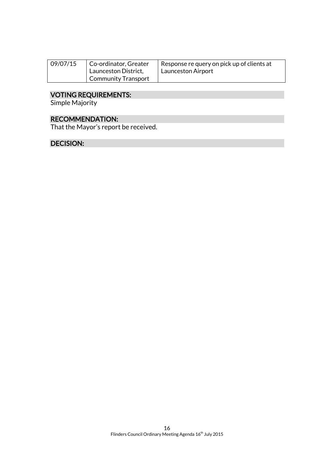| 09/07/15 | Co-ordinator, Greater<br>Launceston District, | I Response re query on pick up of clients at<br>Launceston Airport |
|----------|-----------------------------------------------|--------------------------------------------------------------------|
|          | Community Transport                           |                                                                    |

#### VOTING REQUIREMENTS:

Simple Majority

## RECOMMENDATION:

That the Mayor's report be received.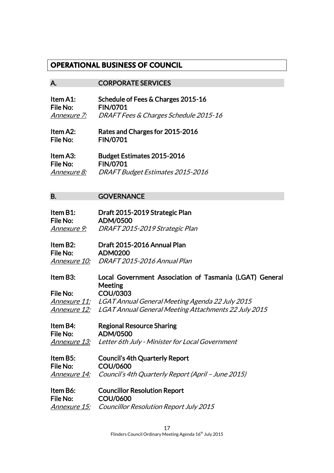## **OPERATIONAL BUSINESS OF COUNCIL**

#### A. CORPORATE SERVICES

| Item A1:        | Schedule of Fees & Charges 2015-16               |
|-----------------|--------------------------------------------------|
| <b>File No:</b> | <b>FIN/0701</b>                                  |
| Annexure 7:     | <b>DRAFT Fees &amp; Charges Schedule 2015-16</b> |

Item A2: Rates and Charges for 2015-2016 File No: FIN/0701

| Item A3:           | <b>Budget Estimates 2015-2016</b> |
|--------------------|-----------------------------------|
| File No:           | <b>FIN/0701</b>                   |
| <i>Annexure 8:</i> | DRAFT Budget Estimates 2015-2016  |

#### B. **GOVERNANCE**

| Item B1:    | Draft 2015-2019 Strategic Plan |
|-------------|--------------------------------|
| File No:    | ADM/0500                       |
| Annexure 9: | DRAFT 2015-2019 Strategic Plan |

| Item B2: | Draft 2015-2016 Annual Plan              |
|----------|------------------------------------------|
| File No: | <b>ADM0200</b>                           |
|          | Annexure 10: DRAFT 2015-2016 Annual Plan |

Item B3: Local Government Association of Tasmania (LGAT) General Meeting File No: COU/0303 Annexure 11: LGAT Annual General Meeting Agenda 22 July 2015 Annexure 12: LGAT Annual General Meeting Attachments 22 July 2015

Item B4: Regional Resource Sharing File No: ADM/0500 Annexure 13: Letter 6th July - Minister for Local Government

Item B5: Council's 4th Quarterly Report File No: COU/0600 Annexure 14: Council's 4th Quarterly Report (April – June 2015)

Item B6: Councillor Resolution Report File No: COU/0600 Annexure 15: Councillor Resolution Report July 2015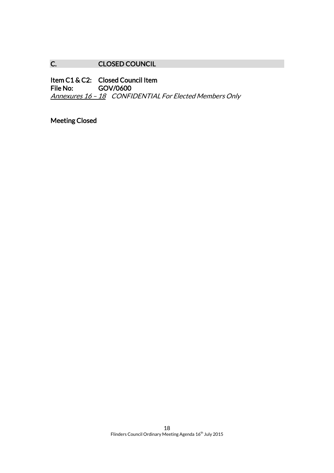## C. CLOSED COUNCIL

Item C1 & C2: Closed Council Item<br>File No: GOV/0600 GOV/0600 Annexures 16 - 18 CONFIDENTIAL For Elected Members Only

Meeting Closed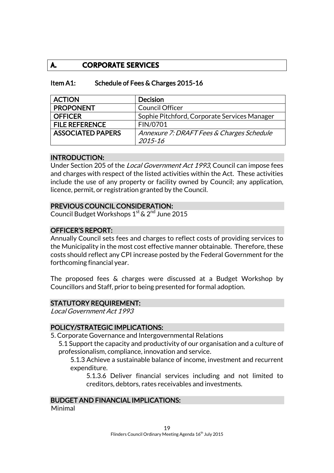## **A. CORPORATE SERVICES**

## Item A1: Schedule of Fees & Charges 2015-16

| <b>ACTION</b>            | <b>Decision</b>                              |
|--------------------------|----------------------------------------------|
| <b>PROPONENT</b>         | <b>Council Officer</b>                       |
| <b>OFFICER</b>           | Sophie Pitchford, Corporate Services Manager |
| <b>FILE REFERENCE</b>    | FIN/0701                                     |
| <b>ASSOCIATED PAPERS</b> | Annexure 7: DRAFT Fees & Charges Schedule    |
|                          | 2015-16                                      |

#### INTRODUCTION:

Under Section 205 of the *Local Government Act 1993*, Council can impose fees and charges with respect of the listed activities within the Act. These activities include the use of any property or facility owned by Council; any application, licence, permit, or registration granted by the Council.

## PREVIOUS COUNCIL CONSIDERATION:

Council Budget Workshops  $1<sup>st</sup>$  &  $2<sup>nd</sup>$  June 2015

## OFFICER'S REPORT:

Annually Council sets fees and charges to reflect costs of providing services to the Municipality in the most cost effective manner obtainable. Therefore, these costs should reflect any CPI increase posted by the Federal Government for the forthcoming financial year.

The proposed fees & charges were discussed at a Budget Workshop by Councillors and Staff, prior to being presented for formal adoption.

#### STATUTORY REQUIREMENT:

Local Government Act 1993

## POLICY/STRATEGIC IMPLICATIONS:

5. Corporate Governance and Intergovernmental Relations

5.1 Support the capacity and productivity of our organisation and a culture of professionalism, compliance, innovation and service.

5.1.3 Achieve a sustainable balance of income, investment and recurrent expenditure.

5.1.3.6 Deliver financial services including and not limited to creditors, debtors, rates receivables and investments.

#### BUDGET AND FINANCIAL IMPLICATIONS:

Minimal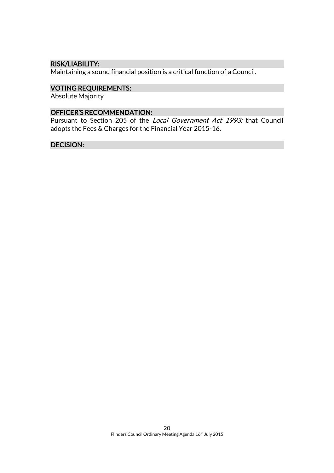## RISK/LIABILITY:

Maintaining a sound financial position is a critical function of a Council.

## VOTING REQUIREMENTS:

Absolute Majority

## OFFICER'S RECOMMENDATION:

Pursuant to Section 205 of the Local Government Act 1993; that Council adopts the Fees & Charges for the Financial Year 2015-16.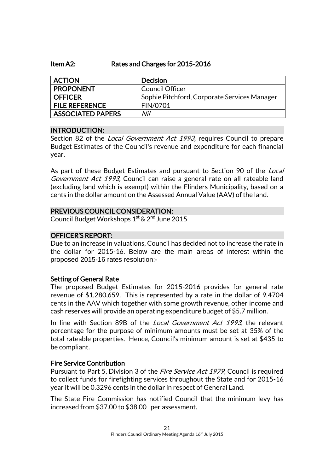#### Item A2: Rates and Charges for 2015-2016

| <b>ACTION</b>            | <b>Decision</b>                              |
|--------------------------|----------------------------------------------|
| <b>PROPONENT</b>         | <b>Council Officer</b>                       |
| <b>OFFICER</b>           | Sophie Pitchford, Corporate Services Manager |
| <b>FILE REFERENCE</b>    | FIN/0701                                     |
| <b>ASSOCIATED PAPERS</b> | Nil                                          |

#### INTRODUCTION:

Section 82 of the *Local Government Act 1993*, requires Council to prepare Budget Estimates of the Council's revenue and expenditure for each financial year.

As part of these Budget Estimates and pursuant to Section 90 of the *Local* Government Act 1993, Council can raise a general rate on all rateable land (excluding land which is exempt) within the Flinders Municipality, based on a cents in the dollar amount on the Assessed Annual Value (AAV) of the land.

## PREVIOUS COUNCIL CONSIDERATION:

Council Budget Workshops 1<sup>st</sup> & 2<sup>nd</sup> June 2015

## OFFICER'S REPORT:

Due to an increase in valuations, Council has decided not to increase the rate in the dollar for 2015-16. Below are the main areas of interest within the proposed 2015-16 rates resolution:-

#### Setting of General Rate

The proposed Budget Estimates for 2015-2016 provides for general rate revenue of \$1,280,659. This is represented by a rate in the dollar of 9.4704 cents in the AAV which together with some growth revenue, other income and cash reserves will provide an operating expenditure budget of \$5.7 million.

In line with Section 89B of the *Local Government Act 1993*, the relevant percentage for the purpose of minimum amounts must be set at 35% of the total rateable properties. Hence, Council's minimum amount is set at \$435 to be compliant.

## Fire Service Contribution

Pursuant to Part 5, Division 3 of the *Fire Service Act 1979*, Council is required to collect funds for firefighting services throughout the State and for 2015-16 year it will be 0.3296 cents in the dollar in respect of General Land.

The State Fire Commission has notified Council that the minimum levy has increased from \$37.00 to \$38.00 per assessment.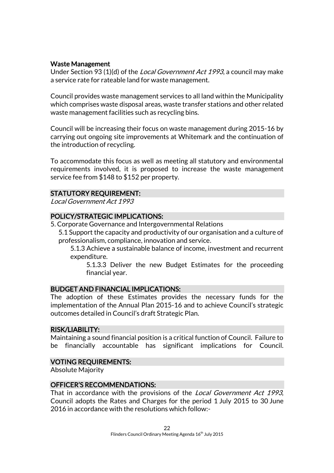## Waste Management

Under Section 93 (1)(d) of the Local Government Act 1993, a council may make a service rate for rateable land for waste management.

Council provides waste management services to all land within the Municipality which comprises waste disposal areas, waste transfer stations and other related waste management facilities such as recycling bins.

Council will be increasing their focus on waste management during 2015-16 by carrying out ongoing site improvements at Whitemark and the continuation of the introduction of recycling.

To accommodate this focus as well as meeting all statutory and environmental requirements involved, it is proposed to increase the waste management service fee from \$148 to \$152 per property.

#### STATUTORY REQUIREMENT:

Local Government Act 1993

## POLICY/STRATEGIC IMPLICATIONS:

- 5. Corporate Governance and Intergovernmental Relations
	- 5.1 Support the capacity and productivity of our organisation and a culture of professionalism, compliance, innovation and service.

5.1.3 Achieve a sustainable balance of income, investment and recurrent expenditure.

5.1.3.3 Deliver the new Budget Estimates for the proceeding financial year.

#### BUDGET AND FINANCIAL IMPLICATIONS:

The adoption of these Estimates provides the necessary funds for the implementation of the Annual Plan 2015-16 and to achieve Council's strategic outcomes detailed in Council's draft Strategic Plan.

#### RISK/LIABILITY:

Maintaining a sound financial position is a critical function of Council. Failure to be financially accountable has significant implications for Council.

#### VOTING REQUIREMENTS:

Absolute Majority

### OFFICER'S RECOMMENDATIONS:

That in accordance with the provisions of the *Local Government Act 1993*, Council adopts the Rates and Charges for the period 1 July 2015 to 30 June 2016 in accordance with the resolutions which follow:-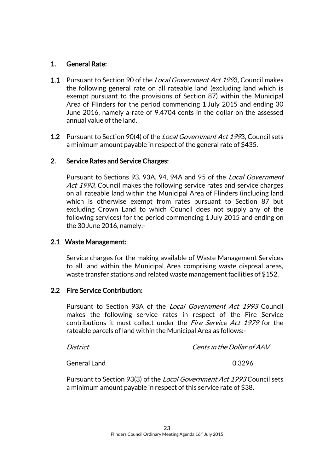## 1. General Rate:

- 1.1 Pursuant to Section 90 of the *Local Government Act 199*3. Council makes the following general rate on all rateable land (excluding land which is exempt pursuant to the provisions of Section 87) within the Municipal Area of Flinders for the period commencing 1 July 2015 and ending 30 June 2016, namely a rate of 9.4704 cents in the dollar on the assessed annual value of the land.
- **1.2** Pursuant to Section 90(4) of the *Local Government Act 199*3, Council sets a minimum amount payable in respect of the general rate of \$435.

## 2. Service Rates and Service Charges:

Pursuant to Sections 93, 93A, 94, 94A and 95 of the Local Government Act 1993, Council makes the following service rates and service charges on all rateable land within the Municipal Area of Flinders (including land which is otherwise exempt from rates pursuant to Section 87 but excluding Crown Land to which Council does not supply any of the following services) for the period commencing 1 July 2015 and ending on the 30June 2016, namely:-

## 2.1 Waste Management:

Service charges for the making available of Waste Management Services to all land within the Municipal Area comprising waste disposal areas, waste transfer stations and related waste management facilities of \$152.

## 2.2 Fire Service Contribution:

Pursuant to Section 93A of the Local Government Act 1993 Council makes the following service rates in respect of the Fire Service contributions it must collect under the *Fire Service Act 1979* for the rateable parcels of land within the Municipal Area as follows:-

District Cents in the Dollar of AAV

General Land 6.3296

Pursuant to Section 93(3) of the Local Government Act 1993 Council sets a minimum amount payable in respect of this service rate of \$38.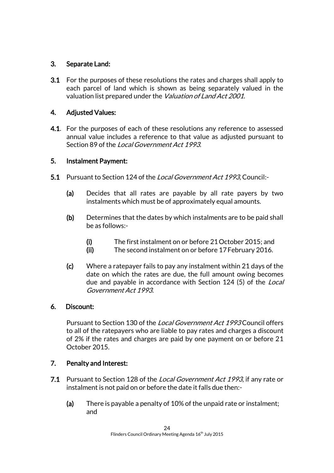## 3. Separate Land:

3.1 For the purposes of these resolutions the rates and charges shall apply to each parcel of land which is shown as being separately valued in the valuation list prepared under the *Valuation of Land Act 2001*.

## 4. Adjusted Values:

4.1. For the purposes of each of these resolutions any reference to assessed annual value includes a reference to that value as adjusted pursuant to Section 89 of the *Local Government Act 1993*.

## 5. Instalment Payment:

- 5.1 Pursuant to Section 124 of the *Local Government Act 1993*. Council:-
	- (a) Decides that all rates are payable by all rate payers by two instalments which must be of approximately equal amounts.
	- (b) Determines that the dates by which instalments are to be paid shall be as follows:-
		- (i) The first instalment on or before 21October 2015; and
		- (ii) The second instalment on or before 17February 2016.
	- (c) Where a ratepayer fails to pay any instalment within 21 days of the date on which the rates are due, the full amount owing becomes due and payable in accordance with Section 124 (5) of the *Local* Government Act 1993.

## 6. Discount:

Pursuant to Section 130 of the Local Government Act 1993 Council offers to all of the ratepayers who are liable to pay rates and charges a discount of 2% if the rates and charges are paid by one payment on or before 21 October 2015.

## 7. Penalty and Interest:

- 7.1 Pursuant to Section 128 of the Local Government Act 1993, if any rate or instalment is not paid on or before the date it falls due then:-
	- (a) There is payable a penalty of 10% of the unpaid rate or instalment; and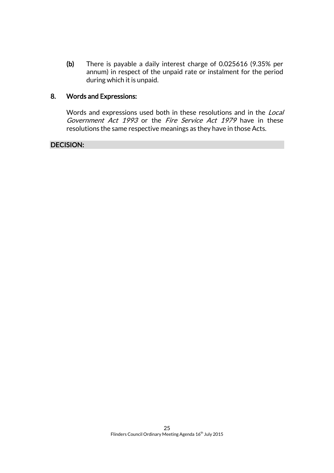(b) There is payable a daily interest charge of 0.025616 (9.35% per annum) in respect of the unpaid rate or instalment for the period during which it is unpaid.

## 8. Words and Expressions:

Words and expressions used both in these resolutions and in the Local Government Act 1993 or the Fire Service Act 1979 have in these resolutions the same respective meanings as they have in those Acts.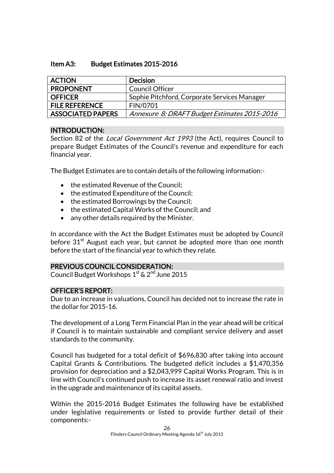### Item A3: Budget Estimates 2015-2016

| <b>ACTION</b>            | <b>Decision</b>                              |
|--------------------------|----------------------------------------------|
| <b>PROPONENT</b>         | Council Officer                              |
| <b>OFFICER</b>           | Sophie Pitchford, Corporate Services Manager |
| <b>FILE REFERENCE</b>    | FIN/0701                                     |
| <b>ASSOCIATED PAPERS</b> | Annexure 8: DRAFT Budget Estimates 2015-2016 |

## INTRODUCTION:

Section 82 of the *Local Government Act 1993* (the Act), requires Council to prepare Budget Estimates of the Council's revenue and expenditure for each financial year.

The Budget Estimates are to contain details of the following information:-

- the estimated Revenue of the Council;
- the estimated Expenditure of the Council;
- the estimated Borrowings by the Council;
- the estimated Capital Works of the Council; and
- any other details required by the Minister.

In accordance with the Act the Budget Estimates must be adopted by Council before  $31<sup>st</sup>$  August each year, but cannot be adopted more than one month before the start of the financial year to which they relate.

## PREVIOUS COUNCIL CONSIDERATION:

Council Budget Workshops 1st & 2<sup>nd</sup> June 2015

## OFFICER'S REPORT:

Due to an increase in valuations, Council has decided not to increase the rate in the dollar for 2015-16.

The development of a Long Term Financial Plan in the year ahead will be critical if Council is to maintain sustainable and compliant service delivery and asset standards to the community.

Council has budgeted for a total deficit of \$696,830 after taking into account Capital Grants & Contributions. The budgeted deficit includes a \$1,470,356 provision for depreciation and a \$2,043,999 Capital Works Program. This is in line with Council's continued push to increase its asset renewal ratio and invest in the upgrade and maintenance of its capital assets.

Within the 2015-2016 Budget Estimates the following have be established under legislative requirements or listed to provide further detail of their components:-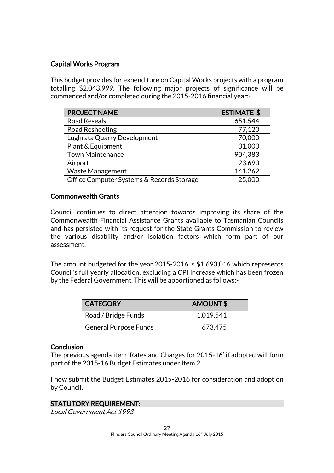## Capital Works Program

This budget provides for expenditure on Capital Works projects with a program totalling \$2,043,999. The following major projects of significance will be commenced and/or completed during the 2015-2016 financial year:-

| <b>PROJECT NAME</b>                       | <b>ESTIMATE \$</b> |
|-------------------------------------------|--------------------|
| <b>Road Reseals</b>                       | 651,544            |
| Road Resheeting                           | 77,120             |
| Lughrata Quarry Development               | 70,000             |
| Plant & Equipment                         | 31,000             |
| <b>Town Maintenance</b>                   | 904,383            |
| Airport                                   | 23,690             |
| Waste Management                          | 141,262            |
| Office Computer Systems & Records Storage | 25,000             |

## Commonwealth Grants

Council continues to direct attention towards improving its share of the Commonwealth Financial Assistance Grants available to Tasmanian Councils and has persisted with its request for the State Grants Commission to review the various disability and/or isolation factors which form part of our assessment.

The amount budgeted for the year 2015-2016 is \$1,693,016 which represents Council's full yearly allocation, excluding a CPI increase which has been frozen by the Federal Government. This will be apportioned as follows:-

| <b>CATEGORY</b>              | AMOUNT\$  |
|------------------------------|-----------|
| Road / Bridge Funds          | 1,019,541 |
| <b>General Purpose Funds</b> | 673,475   |

#### **Conclusion**

The previous agenda item 'Rates and Charges for 2015-16' if adopted will form part of the 2015-16 Budget Estimates under Item 2.

I now submit the Budget Estimates 2015-2016 for consideration and adoption by Council.

## STATUTORY REQUIREMENT:

Local Government Act 1993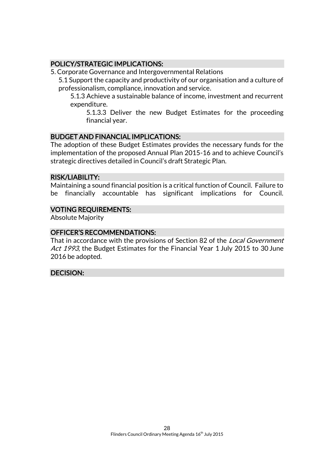## POLICY/STRATEGIC IMPLICATIONS:

5. Corporate Governance and Intergovernmental Relations

5.1 Support the capacity and productivity of our organisation and a culture of professionalism, compliance, innovation and service.

5.1.3 Achieve a sustainable balance of income, investment and recurrent expenditure.

5.1.3.3 Deliver the new Budget Estimates for the proceeding financial year.

## BUDGET AND FINANCIAL IMPLICATIONS:

The adoption of these Budget Estimates provides the necessary funds for the implementation of the proposed Annual Plan 2015-16 and to achieve Council's strategic directives detailed in Council's draft Strategic Plan.

#### RISK/LIABILITY:

Maintaining a sound financial position is a critical function of Council. Failure to be financially accountable has significant implications for Council.

## VOTING REQUIREMENTS:

Absolute Majority

#### OFFICER'S RECOMMENDATIONS:

That in accordance with the provisions of Section 82 of the *Local Government* Act 1993, the Budget Estimates for the Financial Year 1 July 2015 to 30 June 2016 be adopted.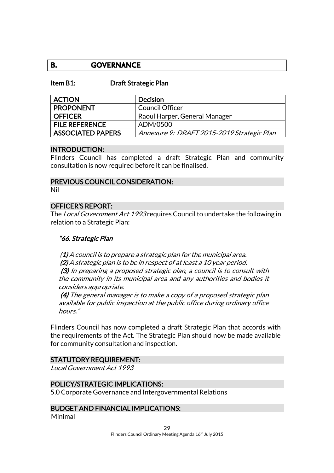## **B. GOVERNANCE**

#### Item B1: Draft Strategic Plan

| <b>ACTION</b>            | <b>Decision</b>                            |
|--------------------------|--------------------------------------------|
| <b>PROPONENT</b>         | <b>Council Officer</b>                     |
| <b>OFFICER</b>           | Raoul Harper, General Manager              |
| <b>FILE REFERENCE</b>    | ADM/0500                                   |
| <b>ASSOCIATED PAPERS</b> | Annexure 9: DRAFT 2015-2019 Strategic Plan |

#### INTRODUCTION:

Flinders Council has completed a draft Strategic Plan and community consultation is now required before it can be finalised.

#### PREVIOUS COUNCIL CONSIDERATION:

Nil

#### OFFICER'S REPORT:

The *Local Government Act 1993* requires Council to undertake the following in relation to a Strategic Plan:

#### "66. Strategic Plan

 $(1)$  A council is to prepare a strategic plan for the municipal area. (2) A strategic plan is to be in respect of at least a 10 year period. (3) In preparing a proposed strategic plan, a council is to consult with the community in its municipal area and any authorities and bodies it considers appropriate.

(4) The general manager is to make a copy of a proposed strategic plan available for public inspection at the public office during ordinary office hours."

Flinders Council has now completed a draft Strategic Plan that accords with the requirements of the Act. The Strategic Plan should now be made available for community consultation and inspection.

#### STATUTORY REQUIREMENT:

Local Government Act 1993

### POLICY/STRATEGIC IMPLICATIONS:

5.0 Corporate Governance and Intergovernmental Relations

## BUDGET AND FINANCIAL IMPLICATIONS:

Minimal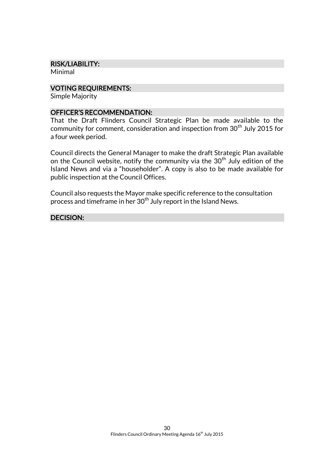#### RISK/LIABILITY:

Minimal

#### VOTING REQUIREMENTS:

Simple Majority

#### OFFICER'S RECOMMENDATION:

That the Draft Flinders Council Strategic Plan be made available to the community for comment, consideration and inspection from  $30<sup>th</sup>$  July 2015 for a four week period.

Council directs the General Manager to make the draft Strategic Plan available on the Council website, notify the community via the 30<sup>th</sup> July edition of the Island News and via a "householder". A copy is also to be made available for public inspection at the Council Offices.

Council also requests the Mayor make specific reference to the consultation process and timeframe in her  $30<sup>th</sup>$  July report in the Island News.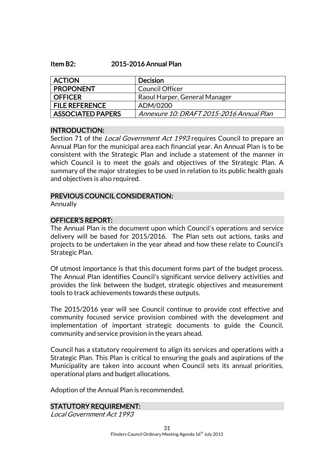#### Item B2: 2015-2016 Annual Plan

| <b>ACTION</b>            | <b>Decision</b>                          |
|--------------------------|------------------------------------------|
| <b>PROPONENT</b>         | <b>Council Officer</b>                   |
| <b>OFFICER</b>           | Raoul Harper, General Manager            |
| <b>FILE REFERENCE</b>    | ADM/0200                                 |
| <b>ASSOCIATED PAPERS</b> | Annexure 10: DRAFT 2015-2016 Annual Plan |

#### INTRODUCTION:

Section 71 of the *Local Government Act 1993* requires Council to prepare an Annual Plan for the municipal area each financial year. An Annual Plan is to be consistent with the Strategic Plan and include a statement of the manner in which Council is to meet the goals and objectives of the Strategic Plan. A summary of the major strategies to be used in relation to its public health goals and objectives is also required.

#### PREVIOUS COUNCIL CONSIDERATION:

Annually

## OFFICER'S REPORT:

The Annual Plan is the document upon which Council's operations and service delivery will be based for 2015/2016. The Plan sets out actions, tasks and projects to be undertaken in the year ahead and how these relate to Council's Strategic Plan.

Of utmost importance is that this document forms part of the budget process. The Annual Plan identifies Council's significant service delivery activities and provides the link between the budget, strategic objectives and measurement tools to track achievements towards these outputs.

The 2015/2016 year will see Council continue to provide cost effective and community focused service provision combined with the development and implementation of important strategic documents to guide the Council, community and service provision in the years ahead.

Council has a statutory requirement to align its services and operations with a Strategic Plan. This Plan is critical to ensuring the goals and aspirations of the Municipality are taken into account when Council sets its annual priorities, operational plans and budget allocations.

Adoption of the Annual Plan is recommended.

## STATUTORY REQUIREMENT:

Local Government Act 1993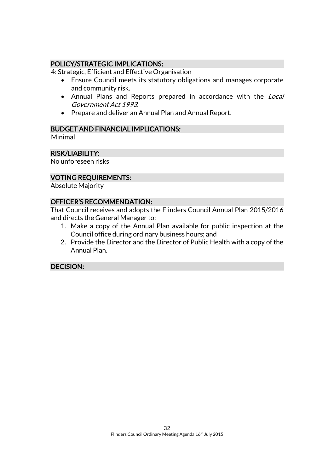## POLICY/STRATEGIC IMPLICATIONS:

4: Strategic, Efficient and Effective Organisation

- Ensure Council meets its statutory obligations and manages corporate and community risk.
- Annual Plans and Reports prepared in accordance with the Local Government Act 1993.
- Prepare and deliver an Annual Plan and Annual Report.

## BUDGET AND FINANCIAL IMPLICATIONS:

Minimal

## RISK/LIABILITY:

No unforeseen risks

## VOTING REQUIREMENTS:

Absolute Majority

## OFFICER'S RECOMMENDATION:

That Council receives and adopts the Flinders Council Annual Plan 2015/2016 and directs the General Manager to:

- 1. Make a copy of the Annual Plan available for public inspection at the Council office during ordinary business hours; and
- 2. Provide the Director and the Director of Public Health with a copy of the Annual Plan.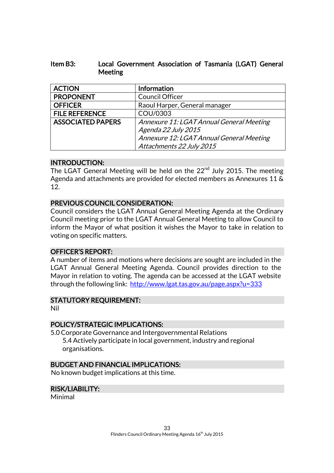## Item B3: Local Government Association of Tasmania (LGAT) General Meeting

| <b>ACTION</b>            | <b>Information</b>                       |
|--------------------------|------------------------------------------|
| <b>PROPONENT</b>         | Council Officer                          |
| <b>OFFICER</b>           | Raoul Harper, General manager            |
| <b>FILE REFERENCE</b>    | COU/0303                                 |
| <b>ASSOCIATED PAPERS</b> | Annexure 11: LGAT Annual General Meeting |
|                          | Agenda 22 July 2015                      |
|                          | Annexure 12: LGAT Annual General Meeting |
|                          | Attachments 22 July 2015                 |

## INTRODUCTION:

The LGAT General Meeting will be held on the 22<sup>nd</sup> July 2015. The meeting Agenda and attachments are provided for elected members as Annexures 11 & 12.

## PREVIOUS COUNCIL CONSIDERATION:

Council considers the LGAT Annual General Meeting Agenda at the Ordinary Council meeting prior to the LGAT Annual General Meeting to allow Council to inform the Mayor of what position it wishes the Mayor to take in relation to voting on specific matters.

## OFFICER'S REPORT:

A number of items and motions where decisions are sought are included in the LGAT Annual General Meeting Agenda. Council provides direction to the Mayor in relation to voting. The agenda can be accessed at the LGAT website through the following link: <http://www.lgat.tas.gov.au/page.aspx?u=333>

## STATUTORY REQUIREMENT:

Nil

## POLICY/STRATEGIC IMPLICATIONS:

5.0 Corporate Governance and Intergovernmental Relations 5.4 Actively participate in local government, industry and regional organisations.

#### BUDGET AND FINANCIAL IMPLICATIONS:

No known budget implications at this time.

## RISK/LIABILITY:

Minimal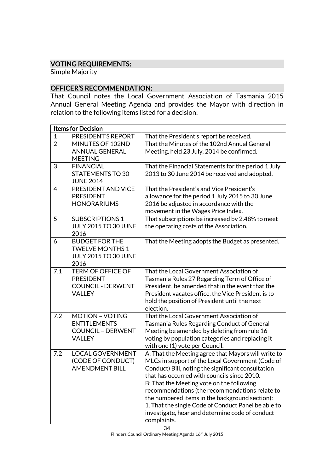## VOTING REQUIREMENTS:

Simple Majority

## OFFICER'S RECOMMENDATION:

That Council notes the Local Government Association of Tasmania 2015 Annual General Meeting Agenda and provides the Mayor with direction in relation to the following items listed for a decision:

| <b>Items for Decision</b> |                                                                                            |                                                                                                                                                                                                                                                                                                                                                                                                                                                                                        |
|---------------------------|--------------------------------------------------------------------------------------------|----------------------------------------------------------------------------------------------------------------------------------------------------------------------------------------------------------------------------------------------------------------------------------------------------------------------------------------------------------------------------------------------------------------------------------------------------------------------------------------|
| $\mathbf{1}$              | PRESIDENT'S REPORT                                                                         | That the President's report be received.                                                                                                                                                                                                                                                                                                                                                                                                                                               |
| $\overline{2}$            | MINUTES OF 102ND<br><b>ANNUAL GENERAL</b><br><b>MEETING</b>                                | That the Minutes of the 102nd Annual General<br>Meeting, held 23 July, 2014 be confirmed.                                                                                                                                                                                                                                                                                                                                                                                              |
| 3                         | <b>FINANCIAL</b><br><b>STATEMENTS TO 30</b><br><b>JUNE 2014</b>                            | That the Financial Statements for the period 1 July<br>2013 to 30 June 2014 be received and adopted.                                                                                                                                                                                                                                                                                                                                                                                   |
| $\overline{4}$            | PRESIDENT AND VICE<br><b>PRESIDENT</b><br><b>HONORARIUMS</b>                               | That the President's and Vice President's<br>allowance for the period 1 July 2015 to 30 June<br>2016 be adjusted in accordance with the<br>movement in the Wages Price Index.                                                                                                                                                                                                                                                                                                          |
| 5                         | <b>SUBSCRIPTIONS 1</b><br><b>JULY 2015 TO 30 JUNE</b><br>2016                              | That subscriptions be increased by 2.48% to meet<br>the operating costs of the Association.                                                                                                                                                                                                                                                                                                                                                                                            |
| 6                         | <b>BUDGET FOR THE</b><br><b>TWELVE MONTHS 1</b><br><b>JULY 2015 TO 30 JUNE</b><br>2016     | That the Meeting adopts the Budget as presented.                                                                                                                                                                                                                                                                                                                                                                                                                                       |
| 7.1                       | <b>TERM OF OFFICE OF</b><br><b>PRESIDENT</b><br><b>COUNCIL - DERWENT</b><br><b>VALLEY</b>  | That the Local Government Association of<br>Tasmania Rules 27 Regarding Term of Office of<br>President, be amended that in the event that the<br>President vacates office, the Vice President is to<br>hold the position of President until the next<br>election.                                                                                                                                                                                                                      |
| 7.2                       | <b>MOTION - VOTING</b><br><b>ENTITLEMENTS</b><br><b>COUNCIL - DERWENT</b><br><b>VALLEY</b> | That the Local Government Association of<br><b>Tasmania Rules Regarding Conduct of General</b><br>Meeting be amended by deleting from rule 16<br>voting by population categories and replacing it<br>with one (1) vote per Council.                                                                                                                                                                                                                                                    |
| 7.2                       | <b>LOCAL GOVERNMENT</b><br>(CODE OF CONDUCT)<br><b>AMENDMENT BILL</b>                      | A: That the Meeting agree that Mayors will write to<br>MLCs in support of the Local Government (Code of<br>Conduct) Bill, noting the significant consultation<br>that has occurred with councils since 2010.<br>B: That the Meeting vote on the following<br>recommendations (the recommendations relate to<br>the numbered items in the background section):<br>1. That the single Code of Conduct Panel be able to<br>investigate, hear and determine code of conduct<br>complaints. |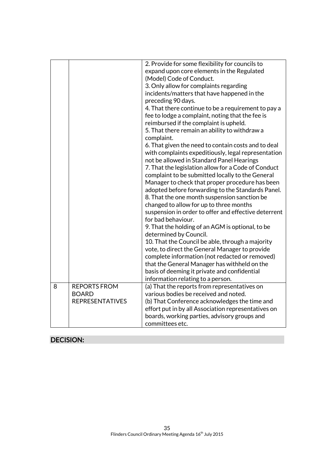|   |                        | 2. Provide for some flexibility for councils to      |
|---|------------------------|------------------------------------------------------|
|   |                        | expand upon core elements in the Regulated           |
|   |                        | (Model) Code of Conduct.                             |
|   |                        | 3. Only allow for complaints regarding               |
|   |                        | incidents/matters that have happened in the          |
|   |                        | preceding 90 days.                                   |
|   |                        | 4. That there continue to be a requirement to pay a  |
|   |                        | fee to lodge a complaint, noting that the fee is     |
|   |                        | reimbursed if the complaint is upheld.               |
|   |                        | 5. That there remain an ability to withdraw a        |
|   |                        | complaint.                                           |
|   |                        | 6. That given the need to contain costs and to deal  |
|   |                        | with complaints expeditiously, legal representation  |
|   |                        | not be allowed in Standard Panel Hearings            |
|   |                        | 7. That the legislation allow for a Code of Conduct  |
|   |                        | complaint to be submitted locally to the General     |
|   |                        | Manager to check that proper procedure has been      |
|   |                        | adopted before forwarding to the Standards Panel.    |
|   |                        | 8. That the one month suspension sanction be         |
|   |                        | changed to allow for up to three months              |
|   |                        | suspension in order to offer and effective deterrent |
|   |                        | for bad behaviour.                                   |
|   |                        | 9. That the holding of an AGM is optional, to be     |
|   |                        | determined by Council.                               |
|   |                        | 10. That the Council be able, through a majority     |
|   |                        | vote, to direct the General Manager to provide       |
|   |                        | complete information (not redacted or removed)       |
|   |                        | that the General Manager has withheld on the         |
|   |                        | basis of deeming it private and confidential         |
|   |                        | information relating to a person.                    |
| 8 | <b>REPORTS FROM</b>    | (a) That the reports from representatives on         |
|   | <b>BOARD</b>           | various bodies be received and noted.                |
|   | <b>REPRESENTATIVES</b> | (b) That Conference acknowledges the time and        |
|   |                        | effort put in by all Association representatives on  |
|   |                        | boards, working parties, advisory groups and         |
|   |                        | committees etc.                                      |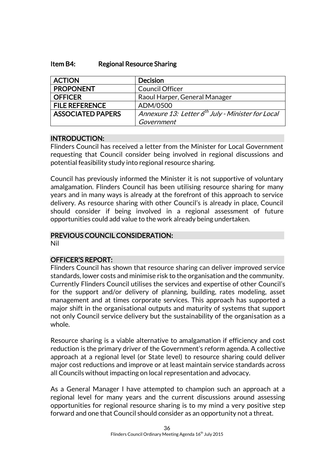#### Item B4: Regional Resource Sharing

| <b>ACTION</b>            | <b>Decision</b>                                               |
|--------------------------|---------------------------------------------------------------|
| <b>PROPONENT</b>         | <b>Council Officer</b>                                        |
| <b>OFFICER</b>           | Raoul Harper, General Manager                                 |
| <b>FILE REFERENCE</b>    | ADM/0500                                                      |
| <b>ASSOCIATED PAPERS</b> | Annexure 13: Letter 6 <sup>th</sup> July - Minister for Local |
|                          | Government                                                    |

#### INTRODUCTION:

Flinders Council has received a letter from the Minister for Local Government requesting that Council consider being involved in regional discussions and potential feasibility study into regional resource sharing.

Council has previously informed the Minister it is not supportive of voluntary amalgamation. Flinders Council has been utilising resource sharing for many years and in many ways is already at the forefront of this approach to service delivery. As resource sharing with other Council's is already in place, Council should consider if being involved in a regional assessment of future opportunities could add value to the work already being undertaken.

## PREVIOUS COUNCIL CONSIDERATION:

Nil

## OFFICER'S REPORT:

Flinders Council has shown that resource sharing can deliver improved service standards, lower costs and minimise risk to the organisation and the community. Currently Flinders Council utilises the services and expertise of other Council's for the support and/or delivery of planning, building, rates modeling, asset management and at times corporate services. This approach has supported a major shift in the organisational outputs and maturity of systems that support not only Council service delivery but the sustainability of the organisation as a whole.

Resource sharing is a viable alternative to amalgamation if efficiency and cost reduction is the primary driver of the Government's reform agenda. A collective approach at a regional level (or State level) to resource sharing could deliver major cost reductions and improve or at least maintain service standards across all Councils without impacting on local representation and advocacy.

As a General Manager I have attempted to champion such an approach at a regional level for many years and the current discussions around assessing opportunities for regional resource sharing is to my mind a very positive step forward and one that Council should consider as an opportunity not a threat.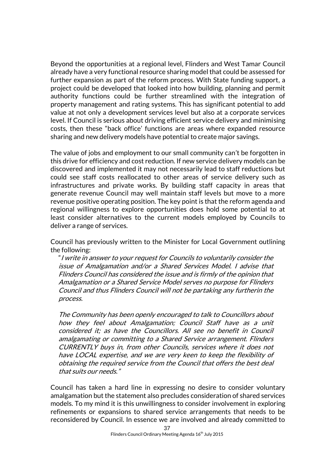Beyond the opportunities at a regional level, Flinders and West Tamar Council already have a very functional resource sharing model that could be assessed for further expansion as part of the reform process. With State funding support, a project could be developed that looked into how building, planning and permit authority functions could be further streamlined with the integration of property management and rating systems. This has significant potential to add value at not only a development services level but also at a corporate services level. If Council is serious about driving efficient service delivery and minimising costs, then these "back office' functions are areas where expanded resource sharing and new delivery models have potential to create major savings.

The value of jobs and employment to our small community can't be forgotten in this drive for efficiency and cost reduction. If new service delivery models can be discovered and implemented it may not necessarily lead to staff reductions but could see staff costs reallocated to other areas of service delivery such as infrastructures and private works. By building staff capacity in areas that generate revenue Council may well maintain staff levels but move to a more revenue positive operating position. The key point is that the reform agenda and regional willingness to explore opportunities does hold some potential to at least consider alternatives to the current models employed by Councils to deliver a range of services.

Council has previously written to the Minister for Local Government outlining the following:

"I write in answer to your request for Councils to voluntarily consider the issue of Amalgamation and/or a Shared Services Model. I advise that Flinders Council has considered the issue and is firmly of the opinion that Amalgamation or a Shared Service Model serves no purpose for Flinders Council and thus Flinders Council will not be partaking any furtherin the process.

The Community has been openly encouraged to talk to Councillors about how they feel about Amalgamation; Council Staff have as a unit considered it; as have the Councillors. All see no benefit in Council amalgamating or committing to a Shared Service arrangement. Flinders CURRENTLY buys in, from other Councils, services where it does not have LOCAL expertise, and we are very keen to keep the flexibility of obtaining the required service from the Council that offers the best deal that suits our needs."

Council has taken a hard line in expressing no desire to consider voluntary amalgamation but the statement also precludes consideration of shared services models. To my mind it is this unwillingness to consider involvement in exploring refinements or expansions to shared service arrangements that needs to be reconsidered by Council. In essence we are involved and already committed to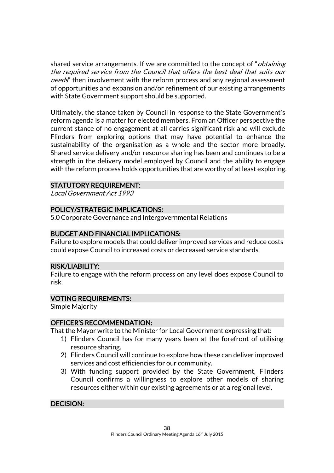shared service arrangements. If we are committed to the concept of "*obtaining* the required service from the Council that offers the best deal that suits our needs" then involvement with the reform process and any regional assessment of opportunities and expansion and/or refinement of our existing arrangements with State Government support should be supported.

Ultimately, the stance taken by Council in response to the State Government's reform agenda is a matter for elected members. From an Officer perspective the current stance of no engagement at all carries significant risk and will exclude Flinders from exploring options that may have potential to enhance the sustainability of the organisation as a whole and the sector more broadly. Shared service delivery and/or resource sharing has been and continues to be a strength in the delivery model employed by Council and the ability to engage with the reform process holds opportunities that are worthy of at least exploring.

## STATUTORY REQUIREMENT:

Local Government Act 1993

## POLICY/STRATEGIC IMPLICATIONS:

5.0 Corporate Governance and Intergovernmental Relations

## BUDGET AND FINANCIAL IMPLICATIONS:

Failure to explore models that could deliver improved services and reduce costs could expose Council to increased costs or decreased service standards.

#### RISK/LIABILITY:

Failure to engage with the reform process on any level does expose Council to risk.

### VOTING REQUIREMENTS:

Simple Majority

#### OFFICER'S RECOMMENDATION:

That the Mayor write to the Minister for Local Government expressing that:

- 1) Flinders Council has for many years been at the forefront of utilising resource sharing.
- 2) Flinders Council will continue to explore how these can deliver improved services and cost efficiencies for our community.
- 3) With funding support provided by the State Government, Flinders Council confirms a willingness to explore other models of sharing resources either within our existing agreements or at a regional level.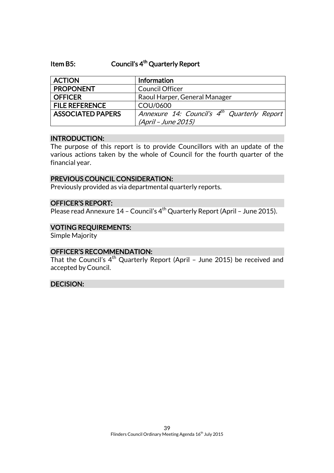## Item B5: Council's 4<sup>th</sup> Quarterly Report

| <b>ACTION</b>            | <b>Information</b>                                      |
|--------------------------|---------------------------------------------------------|
| <b>PROPONENT</b>         | <b>Council Officer</b>                                  |
| <b>OFFICER</b>           | Raoul Harper, General Manager                           |
| <b>FILE REFERENCE</b>    | COU/0600                                                |
| <b>ASSOCIATED PAPERS</b> | Annexure 14: Council's 4 <sup>th</sup> Quarterly Report |
|                          | (April - June 2015)                                     |

#### INTRODUCTION:

The purpose of this report is to provide Councillors with an update of the various actions taken by the whole of Council for the fourth quarter of the financial year.

#### PREVIOUS COUNCIL CONSIDERATION:

Previously provided as via departmental quarterly reports.

### OFFICER'S REPORT:

Please read Annexure 14 - Council's 4<sup>th</sup> Quarterly Report (April - June 2015).

#### VOTING REQUIREMENTS:

Simple Majority

#### OFFICER'S RECOMMENDATION:

That the Council's  $4^{\text{th}}$  Quarterly Report (April - June 2015) be received and accepted by Council.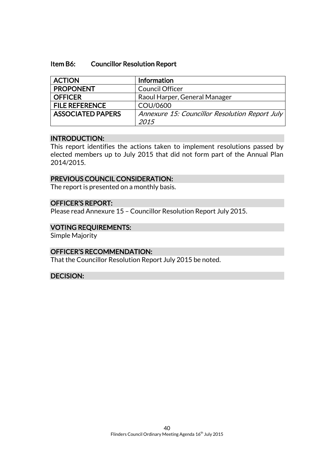#### Item B6: Councillor Resolution Report

| Raoul Harper, General Manager                  |
|------------------------------------------------|
|                                                |
| Annexure 15: Councillor Resolution Report July |
|                                                |

#### INTRODUCTION:

This report identifies the actions taken to implement resolutions passed by elected members up to July 2015 that did not form part of the Annual Plan 2014/2015.

### PREVIOUS COUNCIL CONSIDERATION:

The report is presented on a monthly basis.

#### OFFICER'S REPORT:

Please read Annexure 15 – Councillor Resolution Report July 2015.

#### VOTING REQUIREMENTS:

Simple Majority

## OFFICER'S RECOMMENDATION:

That the Councillor Resolution Report July 2015 be noted.